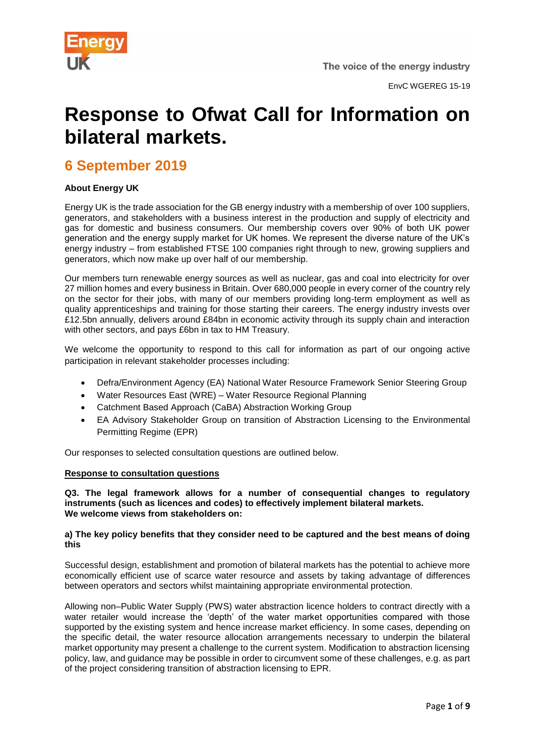

# **Response to Ofwat Call for Information on bilateral markets.**

## **6 September 2019**

### **About Energy UK**

Energy UK is the trade association for the GB energy industry with a membership of over 100 suppliers, generators, and stakeholders with a business interest in the production and supply of electricity and gas for domestic and business consumers. Our membership covers over 90% of both UK power generation and the energy supply market for UK homes. We represent the diverse nature of the UK's energy industry – from established FTSE 100 companies right through to new, growing suppliers and generators, which now make up over half of our membership.

Our members turn renewable energy sources as well as nuclear, gas and coal into electricity for over 27 million homes and every business in Britain. Over 680,000 people in every corner of the country rely on the sector for their jobs, with many of our members providing long-term employment as well as quality apprenticeships and training for those starting their careers. The energy industry invests over £12.5bn annually, delivers around £84bn in economic activity through its supply chain and interaction with other sectors, and pays £6bn in tax to HM Treasury.

We welcome the opportunity to respond to this call for information as part of our ongoing active participation in relevant stakeholder processes including:

- Defra/Environment Agency (EA) National Water Resource Framework Senior Steering Group
- Water Resources East (WRE) Water Resource Regional Planning
- Catchment Based Approach (CaBA) Abstraction Working Group
- EA Advisory Stakeholder Group on transition of Abstraction Licensing to the Environmental Permitting Regime (EPR)

Our responses to selected consultation questions are outlined below.

#### **Response to consultation questions**

**Q3. The legal framework allows for a number of consequential changes to regulatory instruments (such as licences and codes) to effectively implement bilateral markets. We welcome views from stakeholders on:**

#### **a) The key policy benefits that they consider need to be captured and the best means of doing this**

Successful design, establishment and promotion of bilateral markets has the potential to achieve more economically efficient use of scarce water resource and assets by taking advantage of differences between operators and sectors whilst maintaining appropriate environmental protection.

Allowing non–Public Water Supply (PWS) water abstraction licence holders to contract directly with a water retailer would increase the 'depth' of the water market opportunities compared with those supported by the existing system and hence increase market efficiency. In some cases, depending on the specific detail, the water resource allocation arrangements necessary to underpin the bilateral market opportunity may present a challenge to the current system. Modification to abstraction licensing policy, law, and guidance may be possible in order to circumvent some of these challenges, e.g. as part of the project considering transition of abstraction licensing to EPR.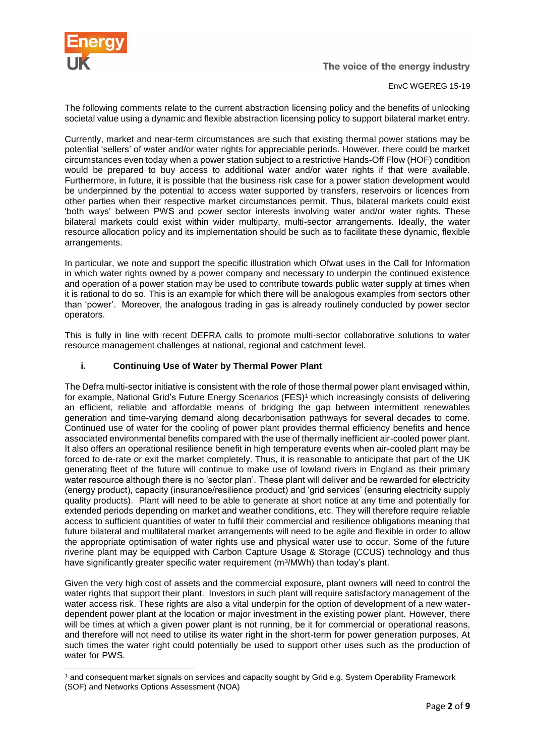

#### EnvC WGEREG 15-19

The following comments relate to the current abstraction licensing policy and the benefits of unlocking societal value using a dynamic and flexible abstraction licensing policy to support bilateral market entry.

Currently, market and near-term circumstances are such that existing thermal power stations may be potential 'sellers' of water and/or water rights for appreciable periods. However, there could be market circumstances even today when a power station subject to a restrictive Hands-Off Flow (HOF) condition would be prepared to buy access to additional water and/or water rights if that were available. Furthermore, in future, it is possible that the business risk case for a power station development would be underpinned by the potential to access water supported by transfers, reservoirs or licences from other parties when their respective market circumstances permit. Thus, bilateral markets could exist 'both ways' between PWS and power sector interests involving water and/or water rights. These bilateral markets could exist within wider multiparty, multi-sector arrangements. Ideally, the water resource allocation policy and its implementation should be such as to facilitate these dynamic, flexible arrangements.

In particular, we note and support the specific illustration which Ofwat uses in the Call for Information in which water rights owned by a power company and necessary to underpin the continued existence and operation of a power station may be used to contribute towards public water supply at times when it is rational to do so. This is an example for which there will be analogous examples from sectors other than 'power'. Moreover, the analogous trading in gas is already routinely conducted by power sector operators.

This is fully in line with recent DEFRA calls to promote multi-sector collaborative solutions to water resource management challenges at national, regional and catchment level.

#### **i. Continuing Use of Water by Thermal Power Plant**

The Defra multi-sector initiative is consistent with the role of those thermal power plant envisaged within, for example, National Grid's Future Energy Scenarios (FES)<sup>1</sup> which increasingly consists of delivering an efficient, reliable and affordable means of bridging the gap between intermittent renewables generation and time-varying demand along decarbonisation pathways for several decades to come. Continued use of water for the cooling of power plant provides thermal efficiency benefits and hence associated environmental benefits compared with the use of thermally inefficient air-cooled power plant. It also offers an operational resilience benefit in high temperature events when air-cooled plant may be forced to de-rate or exit the market completely. Thus, it is reasonable to anticipate that part of the UK generating fleet of the future will continue to make use of lowland rivers in England as their primary water resource although there is no 'sector plan'. These plant will deliver and be rewarded for electricity (energy product), capacity (insurance/resilience product) and 'grid services' (ensuring electricity supply quality products). Plant will need to be able to generate at short notice at any time and potentially for extended periods depending on market and weather conditions, etc. They will therefore require reliable access to sufficient quantities of water to fulfil their commercial and resilience obligations meaning that future bilateral and multilateral market arrangements will need to be agile and flexible in order to allow the appropriate optimisation of water rights use and physical water use to occur. Some of the future riverine plant may be equipped with Carbon Capture Usage & Storage (CCUS) technology and thus have significantly greater specific water requirement (m<sup>3</sup>/MWh) than today's plant.

Given the very high cost of assets and the commercial exposure, plant owners will need to control the water rights that support their plant. Investors in such plant will require satisfactory management of the water access risk. These rights are also a vital underpin for the option of development of a new waterdependent power plant at the location or major investment in the existing power plant. However, there will be times at which a given power plant is not running, be it for commercial or operational reasons, and therefore will not need to utilise its water right in the short-term for power generation purposes. At such times the water right could potentially be used to support other uses such as the production of water for PWS.

<sup>1</sup> and consequent market signals on services and capacity sought by Grid e.g. System Operability Framework (SOF) and Networks Options Assessment (NOA)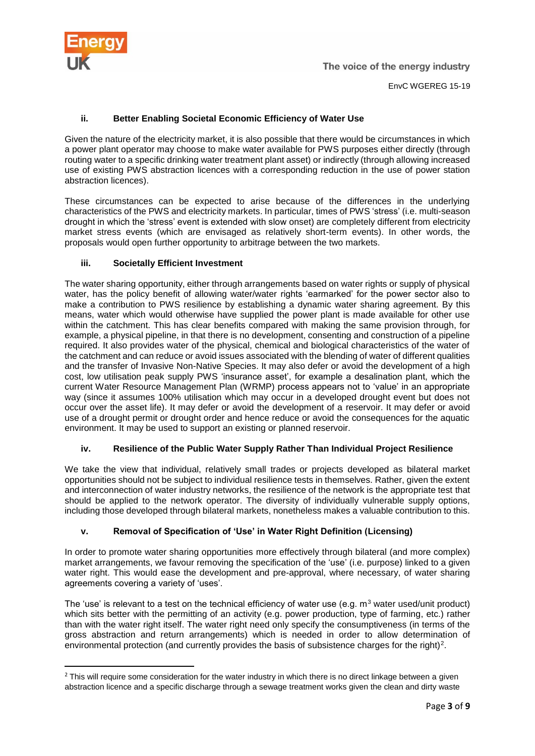

EnvC WGEREG 15-19

### **ii. Better Enabling Societal Economic Efficiency of Water Use**

Given the nature of the electricity market, it is also possible that there would be circumstances in which a power plant operator may choose to make water available for PWS purposes either directly (through routing water to a specific drinking water treatment plant asset) or indirectly (through allowing increased use of existing PWS abstraction licences with a corresponding reduction in the use of power station abstraction licences).

These circumstances can be expected to arise because of the differences in the underlying characteristics of the PWS and electricity markets. In particular, times of PWS 'stress' (i.e. multi-season drought in which the 'stress' event is extended with slow onset) are completely different from electricity market stress events (which are envisaged as relatively short-term events). In other words, the proposals would open further opportunity to arbitrage between the two markets.

#### **iii. Societally Efficient Investment**

The water sharing opportunity, either through arrangements based on water rights or supply of physical water, has the policy benefit of allowing water/water rights 'earmarked' for the power sector also to make a contribution to PWS resilience by establishing a dynamic water sharing agreement. By this means, water which would otherwise have supplied the power plant is made available for other use within the catchment. This has clear benefits compared with making the same provision through, for example, a physical pipeline, in that there is no development, consenting and construction of a pipeline required. It also provides water of the physical, chemical and biological characteristics of the water of the catchment and can reduce or avoid issues associated with the blending of water of different qualities and the transfer of Invasive Non-Native Species. It may also defer or avoid the development of a high cost, low utilisation peak supply PWS 'insurance asset', for example a desalination plant, which the current Water Resource Management Plan (WRMP) process appears not to 'value' in an appropriate way (since it assumes 100% utilisation which may occur in a developed drought event but does not occur over the asset life). It may defer or avoid the development of a reservoir. It may defer or avoid use of a drought permit or drought order and hence reduce or avoid the consequences for the aquatic environment. It may be used to support an existing or planned reservoir.

#### **iv. Resilience of the Public Water Supply Rather Than Individual Project Resilience**

We take the view that individual, relatively small trades or projects developed as bilateral market opportunities should not be subject to individual resilience tests in themselves. Rather, given the extent and interconnection of water industry networks, the resilience of the network is the appropriate test that should be applied to the network operator. The diversity of individually vulnerable supply options, including those developed through bilateral markets, nonetheless makes a valuable contribution to this.

#### **v. Removal of Specification of 'Use' in Water Right Definition (Licensing)**

In order to promote water sharing opportunities more effectively through bilateral (and more complex) market arrangements, we favour removing the specification of the 'use' (i.e. purpose) linked to a given water right. This would ease the development and pre-approval, where necessary, of water sharing agreements covering a variety of 'uses'.

The 'use' is relevant to a test on the technical efficiency of water use (e.g.  $m<sup>3</sup>$  water used/unit product) which sits better with the permitting of an activity (e.g. power production, type of farming, etc.) rather than with the water right itself. The water right need only specify the consumptiveness (in terms of the gross abstraction and return arrangements) which is needed in order to allow determination of environmental protection (and currently provides the basis of subsistence charges for the right)<sup>2</sup>.

<sup>&</sup>lt;sup>2</sup> This will require some consideration for the water industry in which there is no direct linkage between a given abstraction licence and a specific discharge through a sewage treatment works given the clean and dirty waste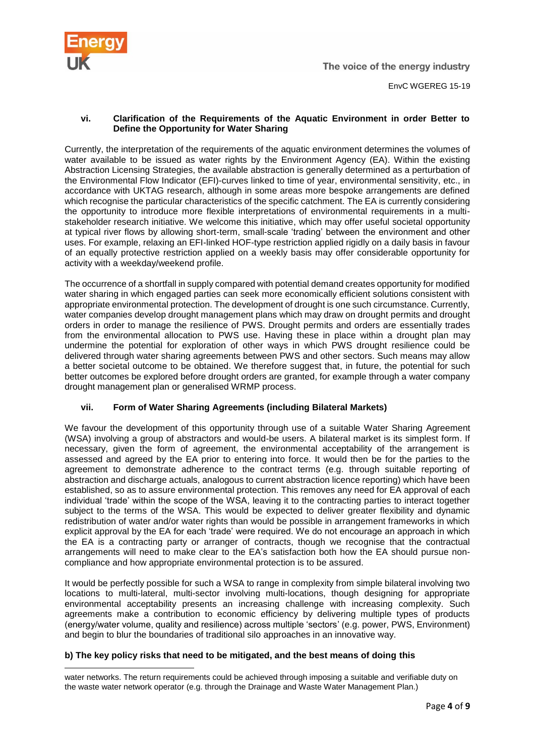

#### **vi. Clarification of the Requirements of the Aquatic Environment in order Better to Define the Opportunity for Water Sharing**

Currently, the interpretation of the requirements of the aquatic environment determines the volumes of water available to be issued as water rights by the Environment Agency (EA). Within the existing Abstraction Licensing Strategies, the available abstraction is generally determined as a perturbation of the Environmental Flow Indicator (EFI)-curves linked to time of year, environmental sensitivity, etc., in accordance with UKTAG research, although in some areas more bespoke arrangements are defined which recognise the particular characteristics of the specific catchment. The EA is currently considering the opportunity to introduce more flexible interpretations of environmental requirements in a multistakeholder research initiative. We welcome this initiative, which may offer useful societal opportunity at typical river flows by allowing short-term, small-scale 'trading' between the environment and other uses. For example, relaxing an EFI-linked HOF-type restriction applied rigidly on a daily basis in favour of an equally protective restriction applied on a weekly basis may offer considerable opportunity for activity with a weekday/weekend profile.

The occurrence of a shortfall in supply compared with potential demand creates opportunity for modified water sharing in which engaged parties can seek more economically efficient solutions consistent with appropriate environmental protection. The development of drought is one such circumstance. Currently, water companies develop drought management plans which may draw on drought permits and drought orders in order to manage the resilience of PWS. Drought permits and orders are essentially trades from the environmental allocation to PWS use. Having these in place within a drought plan may undermine the potential for exploration of other ways in which PWS drought resilience could be delivered through water sharing agreements between PWS and other sectors. Such means may allow a better societal outcome to be obtained. We therefore suggest that, in future, the potential for such better outcomes be explored before drought orders are granted, for example through a water company drought management plan or generalised WRMP process.

#### **vii. Form of Water Sharing Agreements (including Bilateral Markets)**

We favour the development of this opportunity through use of a suitable Water Sharing Agreement (WSA) involving a group of abstractors and would-be users. A bilateral market is its simplest form. If necessary, given the form of agreement, the environmental acceptability of the arrangement is assessed and agreed by the EA prior to entering into force. It would then be for the parties to the agreement to demonstrate adherence to the contract terms (e.g. through suitable reporting of abstraction and discharge actuals, analogous to current abstraction licence reporting) which have been established, so as to assure environmental protection. This removes any need for EA approval of each individual 'trade' within the scope of the WSA, leaving it to the contracting parties to interact together subject to the terms of the WSA. This would be expected to deliver greater flexibility and dynamic redistribution of water and/or water rights than would be possible in arrangement frameworks in which explicit approval by the EA for each 'trade' were required. We do not encourage an approach in which the EA is a contracting party or arranger of contracts, though we recognise that the contractual arrangements will need to make clear to the EA's satisfaction both how the EA should pursue noncompliance and how appropriate environmental protection is to be assured.

It would be perfectly possible for such a WSA to range in complexity from simple bilateral involving two locations to multi-lateral, multi-sector involving multi-locations, though designing for appropriate environmental acceptability presents an increasing challenge with increasing complexity. Such agreements make a contribution to economic efficiency by delivering multiple types of products (energy/water volume, quality and resilience) across multiple 'sectors' (e.g. power, PWS, Environment) and begin to blur the boundaries of traditional silo approaches in an innovative way.

#### **b) The key policy risks that need to be mitigated, and the best means of doing this**

water networks. The return requirements could be achieved through imposing a suitable and verifiable duty on the waste water network operator (e.g. through the Drainage and Waste Water Management Plan.)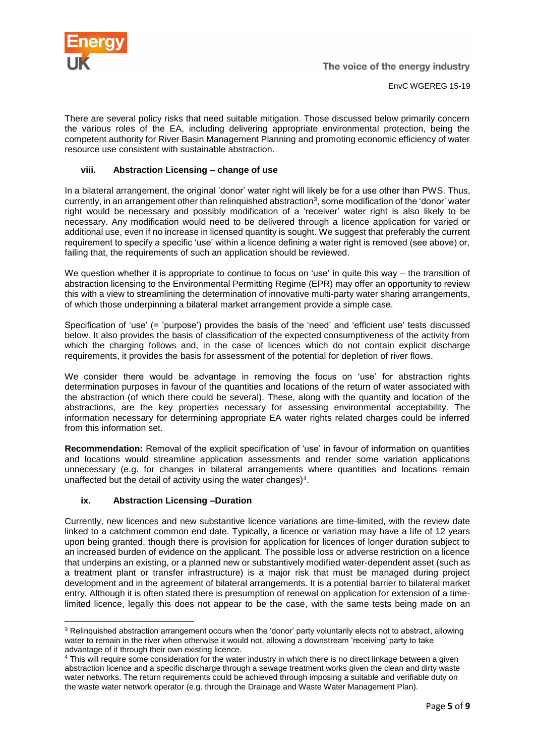

There are several policy risks that need suitable mitigation. Those discussed below primarily concern the various roles of the EA, including delivering appropriate environmental protection, being the competent authority for River Basin Management Planning and promoting economic efficiency of water resource use consistent with sustainable abstraction.

### **viii. Abstraction Licensing – change of use**

In a bilateral arrangement, the original 'donor' water right will likely be for a use other than PWS. Thus, currently, in an arrangement other than relinquished abstraction<sup>3</sup>, some modification of the 'donor' water right would be necessary and possibly modification of a 'receiver' water right is also likely to be necessary. Any modification would need to be delivered through a licence application for varied or additional use, even if no increase in licensed quantity is sought. We suggest that preferably the current requirement to specify a specific 'use' within a licence defining a water right is removed (see above) or, failing that, the requirements of such an application should be reviewed.

We question whether it is appropriate to continue to focus on 'use' in quite this way – the transition of abstraction licensing to the Environmental Permitting Regime (EPR) may offer an opportunity to review this with a view to streamlining the determination of innovative multi-party water sharing arrangements, of which those underpinning a bilateral market arrangement provide a simple case.

Specification of 'use' (= 'purpose') provides the basis of the 'need' and 'efficient use' tests discussed below. It also provides the basis of classification of the expected consumptiveness of the activity from which the charging follows and, in the case of licences which do not contain explicit discharge requirements, it provides the basis for assessment of the potential for depletion of river flows.

We consider there would be advantage in removing the focus on 'use' for abstraction rights determination purposes in favour of the quantities and locations of the return of water associated with the abstraction (of which there could be several). These, along with the quantity and location of the abstractions, are the key properties necessary for assessing environmental acceptability. The information necessary for determining appropriate EA water rights related charges could be inferred from this information set.

**Recommendation:** Removal of the explicit specification of 'use' in favour of information on quantities and locations would streamline application assessments and render some variation applications unnecessary (e.g. for changes in bilateral arrangements where quantities and locations remain unaffected but the detail of activity using the water changes)<sup>4</sup>.

#### **ix. Abstraction Licensing –Duration**

Currently, new licences and new substantive licence variations are time-limited, with the review date linked to a catchment common end date. Typically, a licence or variation may have a life of 12 years upon being granted, though there is provision for application for licences of longer duration subject to an increased burden of evidence on the applicant. The possible loss or adverse restriction on a licence that underpins an existing, or a planned new or substantively modified water-dependent asset (such as a treatment plant or transfer infrastructure) is a major risk that must be managed during project development and in the agreement of bilateral arrangements. It is a potential barrier to bilateral market entry. Although it is often stated there is presumption of renewal on application for extension of a timelimited licence, legally this does not appear to be the case, with the same tests being made on an

<sup>&</sup>lt;sup>3</sup> Relinquished abstraction arrangement occurs when the 'donor' party voluntarily elects not to abstract, allowing water to remain in the river when otherwise it would not, allowing a downstream 'receiving' party to take advantage of it through their own existing licence.

<sup>&</sup>lt;sup>4</sup> This will require some consideration for the water industry in which there is no direct linkage between a given abstraction licence and a specific discharge through a sewage treatment works given the clean and dirty waste water networks. The return requirements could be achieved through imposing a suitable and verifiable duty on the waste water network operator (e.g. through the Drainage and Waste Water Management Plan).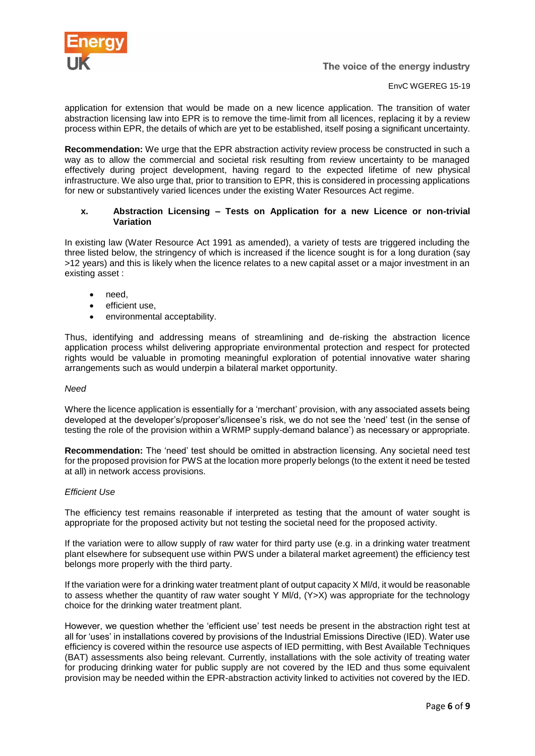

EnvC WGEREG 15-19

application for extension that would be made on a new licence application. The transition of water abstraction licensing law into EPR is to remove the time-limit from all licences, replacing it by a review process within EPR, the details of which are yet to be established, itself posing a significant uncertainty.

**Recommendation:** We urge that the EPR abstraction activity review process be constructed in such a way as to allow the commercial and societal risk resulting from review uncertainty to be managed effectively during project development, having regard to the expected lifetime of new physical infrastructure. We also urge that, prior to transition to EPR, this is considered in processing applications for new or substantively varied licences under the existing Water Resources Act regime.

#### **x. Abstraction Licensing – Tests on Application for a new Licence or non-trivial Variation**

In existing law (Water Resource Act 1991 as amended), a variety of tests are triggered including the three listed below, the stringency of which is increased if the licence sought is for a long duration (say >12 years) and this is likely when the licence relates to a new capital asset or a major investment in an existing asset :

- need.
- efficient use.
- environmental acceptability.

Thus, identifying and addressing means of streamlining and de-risking the abstraction licence application process whilst delivering appropriate environmental protection and respect for protected rights would be valuable in promoting meaningful exploration of potential innovative water sharing arrangements such as would underpin a bilateral market opportunity.

#### *Need*

Where the licence application is essentially for a 'merchant' provision, with any associated assets being developed at the developer's/proposer's/licensee's risk, we do not see the 'need' test (in the sense of testing the role of the provision within a WRMP supply-demand balance') as necessary or appropriate.

**Recommendation:** The 'need' test should be omitted in abstraction licensing. Any societal need test for the proposed provision for PWS at the location more properly belongs (to the extent it need be tested at all) in network access provisions.

#### *Efficient Use*

The efficiency test remains reasonable if interpreted as testing that the amount of water sought is appropriate for the proposed activity but not testing the societal need for the proposed activity.

If the variation were to allow supply of raw water for third party use (e.g. in a drinking water treatment plant elsewhere for subsequent use within PWS under a bilateral market agreement) the efficiency test belongs more properly with the third party.

If the variation were for a drinking water treatment plant of output capacity X Ml/d, it would be reasonable to assess whether the quantity of raw water sought Y Ml/d, (Y>X) was appropriate for the technology choice for the drinking water treatment plant.

However, we question whether the 'efficient use' test needs be present in the abstraction right test at all for 'uses' in installations covered by provisions of the Industrial Emissions Directive (IED). Water use efficiency is covered within the resource use aspects of IED permitting, with Best Available Techniques (BAT) assessments also being relevant. Currently, installations with the sole activity of treating water for producing drinking water for public supply are not covered by the IED and thus some equivalent provision may be needed within the EPR-abstraction activity linked to activities not covered by the IED.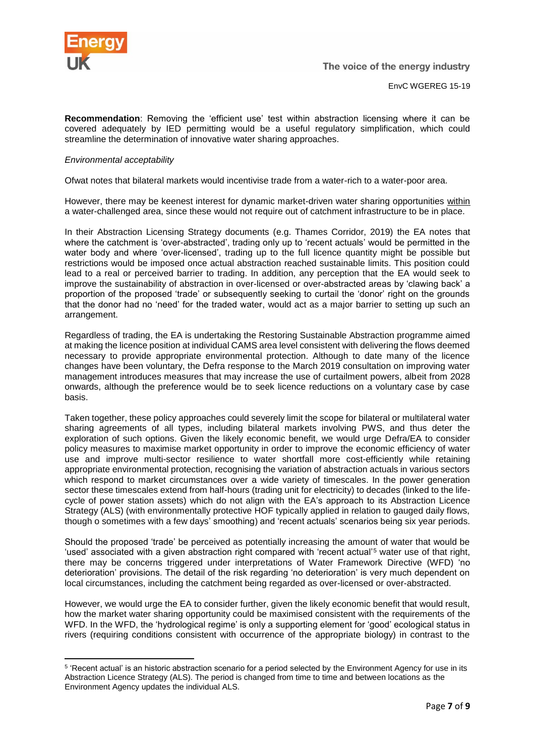

**Recommendation**: Removing the 'efficient use' test within abstraction licensing where it can be covered adequately by IED permitting would be a useful regulatory simplification, which could streamline the determination of innovative water sharing approaches.

#### *Environmental acceptability*

Ofwat notes that bilateral markets would incentivise trade from a water-rich to a water-poor area.

However, there may be keenest interest for dynamic market-driven water sharing opportunities within a water-challenged area, since these would not require out of catchment infrastructure to be in place.

In their Abstraction Licensing Strategy documents (e.g. Thames Corridor, 2019) the EA notes that where the catchment is 'over-abstracted', trading only up to 'recent actuals' would be permitted in the water body and where 'over-licensed', trading up to the full licence quantity might be possible but restrictions would be imposed once actual abstraction reached sustainable limits. This position could lead to a real or perceived barrier to trading. In addition, any perception that the EA would seek to improve the sustainability of abstraction in over-licensed or over-abstracted areas by 'clawing back' a proportion of the proposed 'trade' or subsequently seeking to curtail the 'donor' right on the grounds that the donor had no 'need' for the traded water, would act as a major barrier to setting up such an arrangement.

Regardless of trading, the EA is undertaking the Restoring Sustainable Abstraction programme aimed at making the licence position at individual CAMS area level consistent with delivering the flows deemed necessary to provide appropriate environmental protection. Although to date many of the licence changes have been voluntary, the Defra response to the March 2019 consultation on improving water management introduces measures that may increase the use of curtailment powers, albeit from 2028 onwards, although the preference would be to seek licence reductions on a voluntary case by case basis.

Taken together, these policy approaches could severely limit the scope for bilateral or multilateral water sharing agreements of all types, including bilateral markets involving PWS, and thus deter the exploration of such options. Given the likely economic benefit, we would urge Defra/EA to consider policy measures to maximise market opportunity in order to improve the economic efficiency of water use and improve multi-sector resilience to water shortfall more cost-efficiently while retaining appropriate environmental protection, recognising the variation of abstraction actuals in various sectors which respond to market circumstances over a wide variety of timescales. In the power generation sector these timescales extend from half-hours (trading unit for electricity) to decades (linked to the lifecycle of power station assets) which do not align with the EA's approach to its Abstraction Licence Strategy (ALS) (with environmentally protective HOF typically applied in relation to gauged daily flows, though o sometimes with a few days' smoothing) and 'recent actuals' scenarios being six year periods.

Should the proposed 'trade' be perceived as potentially increasing the amount of water that would be 'used' associated with a given abstraction right compared with 'recent actual'<sup>5</sup> water use of that right, there may be concerns triggered under interpretations of Water Framework Directive (WFD) 'no deterioration' provisions. The detail of the risk regarding 'no deterioration' is very much dependent on local circumstances, including the catchment being regarded as over-licensed or over-abstracted.

However, we would urge the EA to consider further, given the likely economic benefit that would result, how the market water sharing opportunity could be maximised consistent with the requirements of the WFD. In the WFD, the 'hydrological regime' is only a supporting element for 'good' ecological status in rivers (requiring conditions consistent with occurrence of the appropriate biology) in contrast to the

<sup>&</sup>lt;sup>5</sup> 'Recent actual' is an historic abstraction scenario for a period selected by the Environment Agency for use in its Abstraction Licence Strategy (ALS). The period is changed from time to time and between locations as the Environment Agency updates the individual ALS.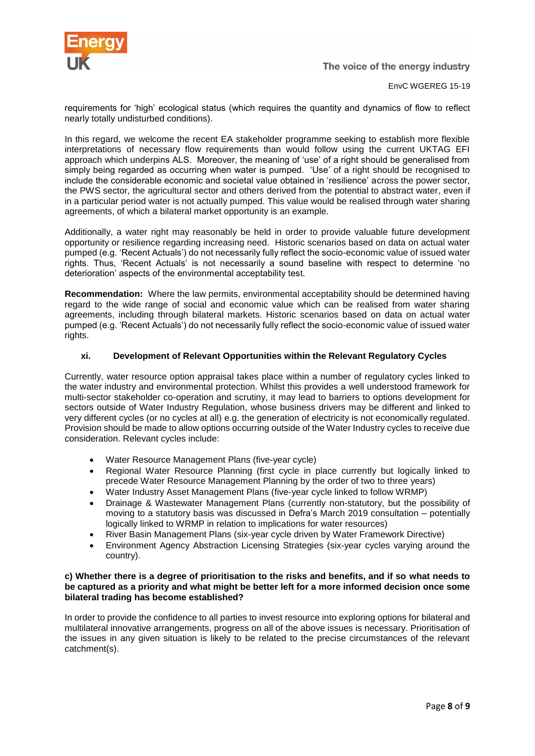

EnvC WGEREG 15-19

requirements for 'high' ecological status (which requires the quantity and dynamics of flow to reflect nearly totally undisturbed conditions).

In this regard, we welcome the recent EA stakeholder programme seeking to establish more flexible interpretations of necessary flow requirements than would follow using the current UKTAG EFI approach which underpins ALS. Moreover, the meaning of 'use' of a right should be generalised from simply being regarded as occurring when water is pumped. 'Use' of a right should be recognised to include the considerable economic and societal value obtained in 'resilience' across the power sector, the PWS sector, the agricultural sector and others derived from the potential to abstract water, even if in a particular period water is not actually pumped. This value would be realised through water sharing agreements, of which a bilateral market opportunity is an example.

Additionally, a water right may reasonably be held in order to provide valuable future development opportunity or resilience regarding increasing need. Historic scenarios based on data on actual water pumped (e.g. 'Recent Actuals') do not necessarily fully reflect the socio-economic value of issued water rights. Thus, 'Recent Actuals' is not necessarily a sound baseline with respect to determine 'no deterioration' aspects of the environmental acceptability test.

**Recommendation:** Where the law permits, environmental acceptability should be determined having regard to the wide range of social and economic value which can be realised from water sharing agreements, including through bilateral markets. Historic scenarios based on data on actual water pumped (e.g. 'Recent Actuals') do not necessarily fully reflect the socio-economic value of issued water rights.

#### **xi. Development of Relevant Opportunities within the Relevant Regulatory Cycles**

Currently, water resource option appraisal takes place within a number of regulatory cycles linked to the water industry and environmental protection. Whilst this provides a well understood framework for multi-sector stakeholder co-operation and scrutiny, it may lead to barriers to options development for sectors outside of Water Industry Regulation, whose business drivers may be different and linked to very different cycles (or no cycles at all) e.g. the generation of electricity is not economically regulated. Provision should be made to allow options occurring outside of the Water Industry cycles to receive due consideration. Relevant cycles include:

- Water Resource Management Plans (five-year cycle)
- Regional Water Resource Planning (first cycle in place currently but logically linked to precede Water Resource Management Planning by the order of two to three years)
- Water Industry Asset Management Plans (five-year cycle linked to follow WRMP)
- Drainage & Wastewater Management Plans (currently non-statutory, but the possibility of moving to a statutory basis was discussed in Defra's March 2019 consultation – potentially logically linked to WRMP in relation to implications for water resources)
- River Basin Management Plans (six-year cycle driven by Water Framework Directive)
- Environment Agency Abstraction Licensing Strategies (six-year cycles varying around the country).

#### **c) Whether there is a degree of prioritisation to the risks and benefits, and if so what needs to be captured as a priority and what might be better left for a more informed decision once some bilateral trading has become established?**

In order to provide the confidence to all parties to invest resource into exploring options for bilateral and multilateral innovative arrangements, progress on all of the above issues is necessary. Prioritisation of the issues in any given situation is likely to be related to the precise circumstances of the relevant catchment(s).